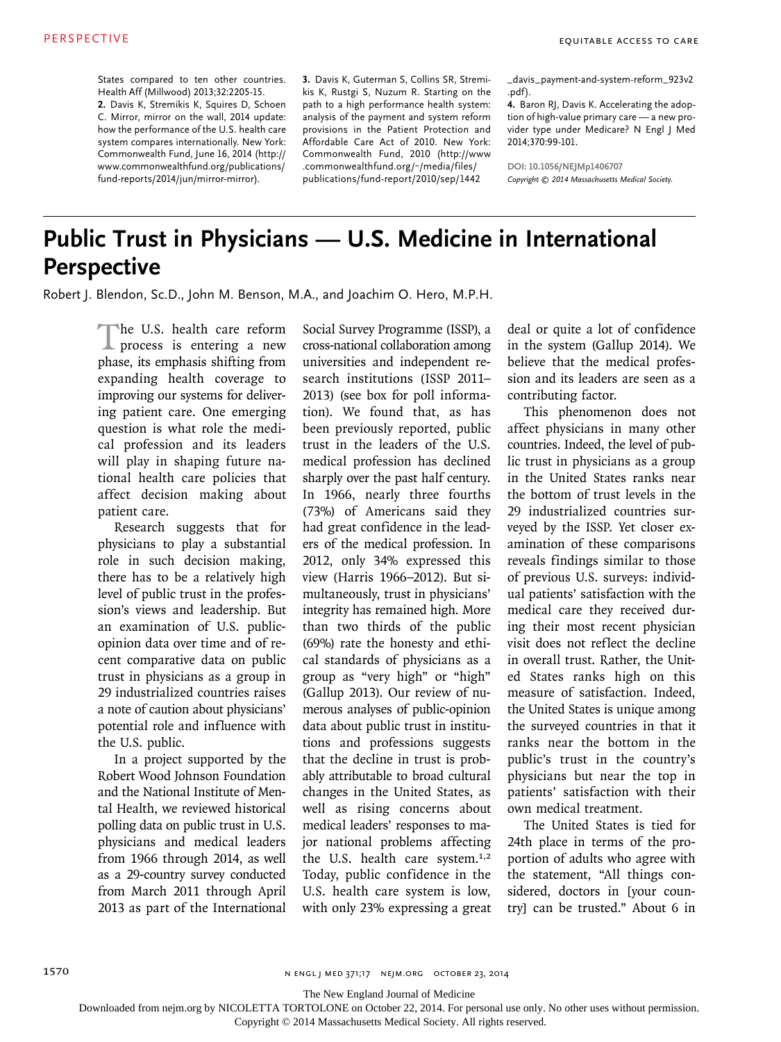States compared to ten other countries. Health Aff (Millwood) 2013;32:2205-15.

**2.** Davis K, Stremikis K, Squires D, Schoen C. Mirror, mirror on the wall, 2014 update: how the performance of the U.S. health care system compares internationally. New York: Commonwealth Fund, June 16, 2014 (http:// www.commonwealthfund.org/publications/ fund-reports/2014/jun/mirror-mirror).

**3.** Davis K, Guterman S, Collins SR, Stremikis K, Rustgi S, Nuzum R. Starting on the path to a high performance health system: analysis of the payment and system reform provisions in the Patient Protection and Affordable Care Act of 2010. New York: Commonwealth Fund, 2010 (http://www .commonwealthfund.org/~/media/files/ publications/fund-report/2010/sep/1442

\_davis\_payment-and-system-reform\_923v2 .pdf).

**4.** Baron RJ, Davis K. Accelerating the adoption of high-value primary care — a new provider type under Medicare? N Engl J Med 2014;370:99-101.

**DOI: 10.1056/NEJMp1406707** *Copyright © 2014 Massachusetts Medical Society.*

# **Public Trust in Physicians — U.S. Medicine in International Perspective**

Robert J. Blendon, Sc.D., John M. Benson, M.A., and Joachim O. Hero, M.P.H.

The U.S. health care reform<br>process is entering a new phase, its emphasis shifting from expanding health coverage to improving our systems for delivering patient care. One emerging question is what role the medical profession and its leaders will play in shaping future national health care policies that affect decision making about patient care.

Research suggests that for physicians to play a substantial role in such decision making, there has to be a relatively high level of public trust in the profession's views and leadership. But an examination of U.S. publicopinion data over time and of recent comparative data on public trust in physicians as a group in 29 industrialized countries raises a note of caution about physicians' potential role and influence with the U.S. public.

In a project supported by the Robert Wood Johnson Foundation and the National Institute of Mental Health, we reviewed historical polling data on public trust in U.S. physicians and medical leaders from 1966 through 2014, as well as a 29-country survey conducted from March 2011 through April 2013 as part of the International

Social Survey Programme (ISSP), a cross-national collaboration among universities and independent research institutions (ISSP 2011– 2013) (see box for poll information). We found that, as has been previously reported, public trust in the leaders of the U.S. medical profession has declined sharply over the past half century. In 1966, nearly three fourths (73%) of Americans said they had great confidence in the leaders of the medical profession. In 2012, only 34% expressed this view (Harris 1966–2012). But simultaneously, trust in physicians' integrity has remained high. More than two thirds of the public (69%) rate the honesty and ethical standards of physicians as a group as "very high" or "high" (Gallup 2013). Our review of numerous analyses of public-opinion data about public trust in institutions and professions suggests that the decline in trust is probably attributable to broad cultural changes in the United States, as well as rising concerns about medical leaders' responses to major national problems affecting the U.S. health care system.<sup>1,2</sup> Today, public confidence in the U.S. health care system is low, with only 23% expressing a great deal or quite a lot of confidence in the system (Gallup 2014). We believe that the medical profession and its leaders are seen as a contributing factor.

This phenomenon does not affect physicians in many other countries. Indeed, the level of public trust in physicians as a group in the United States ranks near the bottom of trust levels in the 29 industrialized countries surveyed by the ISSP. Yet closer examination of these comparisons reveals findings similar to those of previous U.S. surveys: individual patients' satisfaction with the medical care they received during their most recent physician visit does not reflect the decline in overall trust. Rather, the United States ranks high on this measure of satisfaction. Indeed, the United States is unique among the surveyed countries in that it ranks near the bottom in the public's trust in the country's physicians but near the top in patients' satisfaction with their own medical treatment.

The United States is tied for 24th place in terms of the proportion of adults who agree with the statement, "All things considered, doctors in [your country] can be trusted." About 6 in

The New England Journal of Medicine

Downloaded from nejm.org by NICOLETTA TORTOLONE on October 22, 2014. For personal use only. No other uses without permission.

Copyright © 2014 Massachusetts Medical Society. All rights reserved.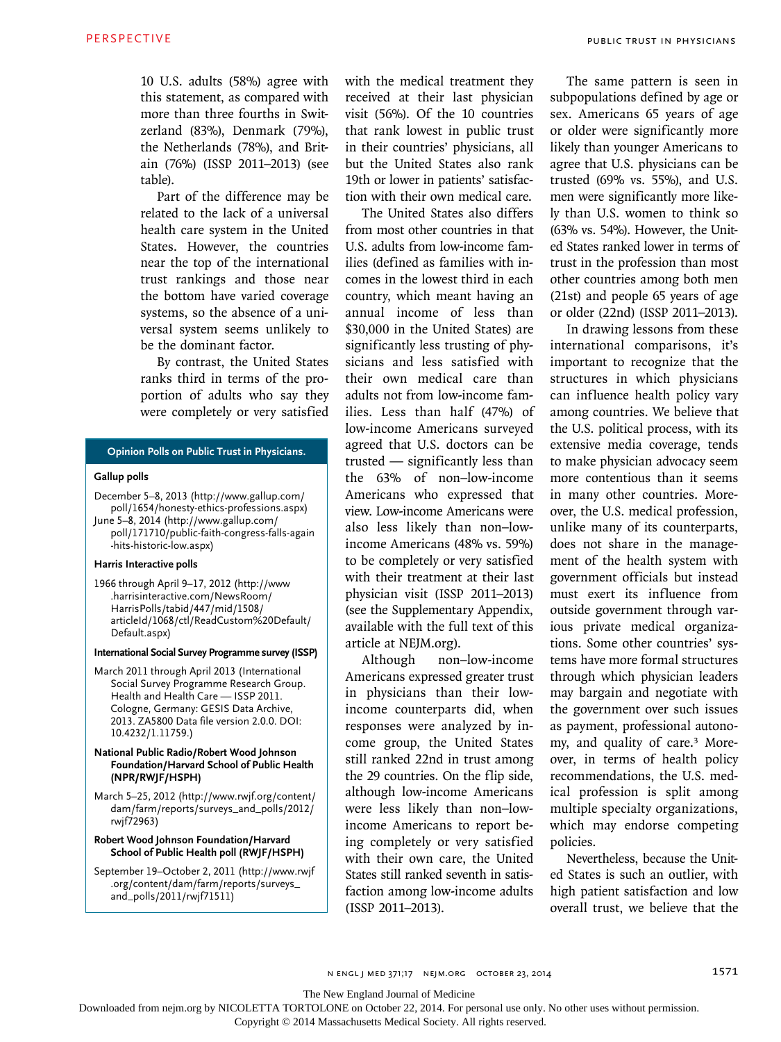10 U.S. adults (58%) agree with this statement, as compared with more than three fourths in Switzerland (83%), Denmark (79%), the Netherlands (78%), and Britain (76%) (ISSP 2011–2013) (see table).

Part of the difference may be related to the lack of a universal health care system in the United States. However, the countries near the top of the international trust rankings and those near the bottom have varied coverage systems, so the absence of a universal system seems unlikely to be the dominant factor.

By contrast, the United States ranks third in terms of the proportion of adults who say they were completely or very satisfied

## **Opinion Polls on Public Trust in Physicians.**

## **Gallup polls**

December 5–8, 2013 (http://www.gallup.com/ poll/1654/honesty-ethics-professions.aspx) June 5–8, 2014 (http://www.gallup.com/ poll/171710/public-faith-congress-falls-again -hits-historic-low.aspx)

#### **Harris Interactive polls**

1966 through April 9–17, 2012 (http://www .harrisinteractive.com/NewsRoom/ HarrisPolls/tabid/447/mid/1508/ articleId/1068/ctl/ReadCustom%20Default/ Default.aspx)

#### **International Social Survey Programme survey (ISSP)**

- March 2011 through April 2013 (International Social Survey Programme Research Group. Health and Health Care — ISSP 2011. Cologne, Germany: GESIS Data Archive, 2013. ZA5800 Data file version 2.0.0. DOI: 10.4232/1.11759.)
- **National Public Radio/Robert Wood Johnson Foundation/Harvard School of Public Health (NPR/RWJF/HSPH)**
- March 5–25, 2012 (http://www.rwjf.org/content/ dam/farm/reports/surveys\_and\_polls/2012/ rwjf72963)
- **Robert Wood Johnson Foundation/Harvard School of Public Health poll (RWJF/HSPH)**

September 19–October 2, 2011 (http://www.rwjf .org/content/dam/farm/reports/surveys\_ and\_polls/2011/rwjf71511)

with the medical treatment they received at their last physician visit (56%). Of the 10 countries that rank lowest in public trust in their countries' physicians, all but the United States also rank 19th or lower in patients' satisfaction with their own medical care.

The United States also differs from most other countries in that U.S. adults from low-income families (defined as families with incomes in the lowest third in each country, which meant having an annual income of less than \$30,000 in the United States) are significantly less trusting of physicians and less satisfied with their own medical care than adults not from low-income families. Less than half (47%) of low-income Americans surveyed agreed that U.S. doctors can be trusted — significantly less than the 63% of non–low-income Americans who expressed that view. Low-income Americans were also less likely than non–lowincome Americans (48% vs. 59%) to be completely or very satisfied with their treatment at their last physician visit (ISSP 2011–2013) (see the Supplementary Appendix, available with the full text of this article at NEJM.org).

Although non–low-income Americans expressed greater trust in physicians than their lowincome counterparts did, when responses were analyzed by income group, the United States still ranked 22nd in trust among the 29 countries. On the flip side, although low-income Americans were less likely than non–lowincome Americans to report being completely or very satisfied with their own care, the United States still ranked seventh in satisfaction among low-income adults (ISSP 2011–2013).

The same pattern is seen in subpopulations defined by age or sex. Americans 65 years of age or older were significantly more likely than younger Americans to agree that U.S. physicians can be trusted (69% vs. 55%), and U.S. men were significantly more likely than U.S. women to think so (63% vs. 54%). However, the United States ranked lower in terms of trust in the profession than most other countries among both men (21st) and people 65 years of age or older (22nd) (ISSP 2011–2013).

In drawing lessons from these international comparisons, it's important to recognize that the structures in which physicians can influence health policy vary among countries. We believe that the U.S. political process, with its extensive media coverage, tends to make physician advocacy seem more contentious than it seems in many other countries. Moreover, the U.S. medical profession, unlike many of its counterparts, does not share in the management of the health system with government officials but instead must exert its influence from outside government through various private medical organizations. Some other countries' systems have more formal structures through which physician leaders may bargain and negotiate with the government over such issues as payment, professional autonomy, and quality of care.3 Moreover, in terms of health policy recommendations, the U.S. medical profession is split among multiple specialty organizations, which may endorse competing policies.

Nevertheless, because the United States is such an outlier, with high patient satisfaction and low overall trust, we believe that the

The New England Journal of Medicine

Downloaded from nejm.org by NICOLETTA TORTOLONE on October 22, 2014. For personal use only. No other uses without permission.

Copyright © 2014 Massachusetts Medical Society. All rights reserved.